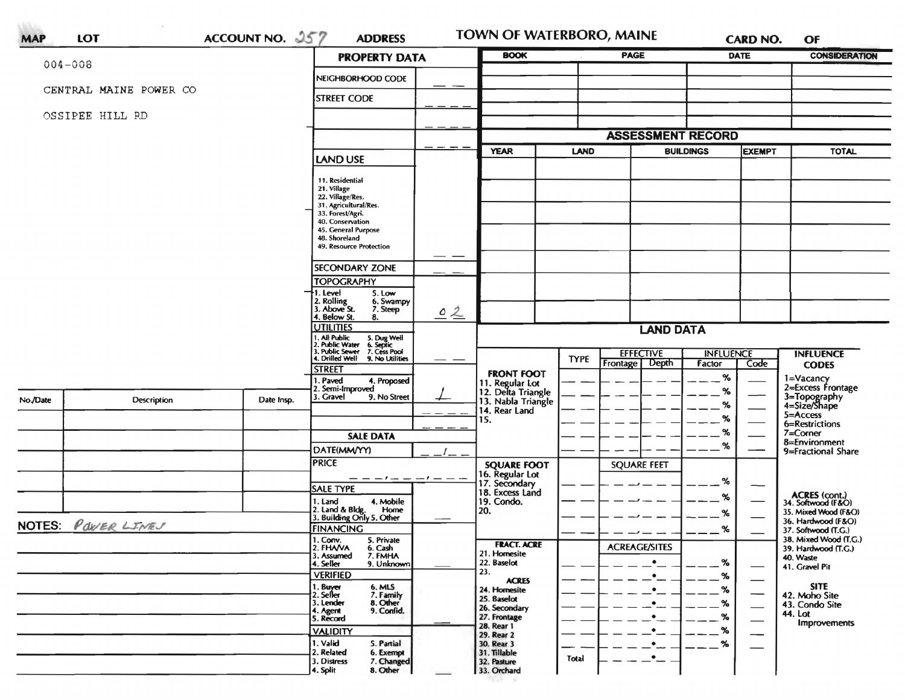| <b>PROPERTY DATA</b><br>$004 - 008$<br>NEIGHBORHOOD CODE<br>CENTRAL MAINE POWER CO<br><b>STREET CODE</b><br>OSSIPEE HILL RD<br><b>YEAR</b><br><b>LAND USE</b><br>11. Residential<br>21. Village<br>22. Village/Res.<br>31. Agricultural/Res.<br>33. Forest/Agri.<br>40. Conservation<br>45. General Purpose<br>48. Shoreland<br>49. Resource Protection<br><b>SECONDARY ZONE</b><br><b>TOPOGRAPHY</b><br>I. Level<br>5. Low<br>2. Rolling<br>3. Above St.<br>6. Swampy<br>7. Steep<br>02<br>4. Below St.<br>8.<br><b>UTILITIES</b><br>. All Public<br>5. Dug Well<br>6. Septic<br>7. Cess Pool<br>2. Public Water<br>3. Public Sewer<br>4. Drilled Well<br>9. No Utilities<br><b>STREET</b><br><b>FRONT FOOT</b><br>1. Paved<br>4. Proposed<br>11. Regular Lot<br>2. Semi-Improved<br>12. Delta Triangle<br>3. Gravel<br>9. No Street<br>No./Date<br>Description<br>Date Insp.<br>13. Nabla Triangle<br>14. Rear Land<br>15.<br><b>SALE DATA</b><br>DATE(MM/YY) | <b>LAND</b><br><b>TYPE</b> | <b>ASSESSMENT RECORD</b><br><b>LAND DATA</b><br><b>EFFECTIVE</b><br>Frontage Depth | <b>BUILDINGS</b><br><b>INFLUENCE</b><br>Factor | <b>EXEMPT</b><br>Code | <b>TOTAL</b><br><b>INFLUENCE</b><br><b>CODES</b> |
|-----------------------------------------------------------------------------------------------------------------------------------------------------------------------------------------------------------------------------------------------------------------------------------------------------------------------------------------------------------------------------------------------------------------------------------------------------------------------------------------------------------------------------------------------------------------------------------------------------------------------------------------------------------------------------------------------------------------------------------------------------------------------------------------------------------------------------------------------------------------------------------------------------------------------------------------------------------------|----------------------------|------------------------------------------------------------------------------------|------------------------------------------------|-----------------------|--------------------------------------------------|
|                                                                                                                                                                                                                                                                                                                                                                                                                                                                                                                                                                                                                                                                                                                                                                                                                                                                                                                                                                 |                            |                                                                                    |                                                |                       |                                                  |
|                                                                                                                                                                                                                                                                                                                                                                                                                                                                                                                                                                                                                                                                                                                                                                                                                                                                                                                                                                 |                            |                                                                                    |                                                |                       |                                                  |
|                                                                                                                                                                                                                                                                                                                                                                                                                                                                                                                                                                                                                                                                                                                                                                                                                                                                                                                                                                 |                            |                                                                                    |                                                |                       |                                                  |
|                                                                                                                                                                                                                                                                                                                                                                                                                                                                                                                                                                                                                                                                                                                                                                                                                                                                                                                                                                 |                            |                                                                                    |                                                |                       |                                                  |
|                                                                                                                                                                                                                                                                                                                                                                                                                                                                                                                                                                                                                                                                                                                                                                                                                                                                                                                                                                 |                            |                                                                                    |                                                |                       |                                                  |
|                                                                                                                                                                                                                                                                                                                                                                                                                                                                                                                                                                                                                                                                                                                                                                                                                                                                                                                                                                 |                            |                                                                                    |                                                |                       |                                                  |
|                                                                                                                                                                                                                                                                                                                                                                                                                                                                                                                                                                                                                                                                                                                                                                                                                                                                                                                                                                 |                            |                                                                                    |                                                |                       |                                                  |
|                                                                                                                                                                                                                                                                                                                                                                                                                                                                                                                                                                                                                                                                                                                                                                                                                                                                                                                                                                 |                            |                                                                                    |                                                |                       |                                                  |
|                                                                                                                                                                                                                                                                                                                                                                                                                                                                                                                                                                                                                                                                                                                                                                                                                                                                                                                                                                 |                            |                                                                                    |                                                |                       |                                                  |
|                                                                                                                                                                                                                                                                                                                                                                                                                                                                                                                                                                                                                                                                                                                                                                                                                                                                                                                                                                 |                            |                                                                                    |                                                |                       |                                                  |
|                                                                                                                                                                                                                                                                                                                                                                                                                                                                                                                                                                                                                                                                                                                                                                                                                                                                                                                                                                 |                            |                                                                                    |                                                |                       |                                                  |
|                                                                                                                                                                                                                                                                                                                                                                                                                                                                                                                                                                                                                                                                                                                                                                                                                                                                                                                                                                 |                            |                                                                                    |                                                |                       |                                                  |
|                                                                                                                                                                                                                                                                                                                                                                                                                                                                                                                                                                                                                                                                                                                                                                                                                                                                                                                                                                 |                            |                                                                                    |                                                |                       |                                                  |
|                                                                                                                                                                                                                                                                                                                                                                                                                                                                                                                                                                                                                                                                                                                                                                                                                                                                                                                                                                 |                            |                                                                                    |                                                |                       |                                                  |
|                                                                                                                                                                                                                                                                                                                                                                                                                                                                                                                                                                                                                                                                                                                                                                                                                                                                                                                                                                 |                            |                                                                                    |                                                |                       |                                                  |
|                                                                                                                                                                                                                                                                                                                                                                                                                                                                                                                                                                                                                                                                                                                                                                                                                                                                                                                                                                 |                            |                                                                                    |                                                |                       |                                                  |
|                                                                                                                                                                                                                                                                                                                                                                                                                                                                                                                                                                                                                                                                                                                                                                                                                                                                                                                                                                 |                            |                                                                                    |                                                |                       |                                                  |
|                                                                                                                                                                                                                                                                                                                                                                                                                                                                                                                                                                                                                                                                                                                                                                                                                                                                                                                                                                 |                            |                                                                                    |                                                |                       |                                                  |
|                                                                                                                                                                                                                                                                                                                                                                                                                                                                                                                                                                                                                                                                                                                                                                                                                                                                                                                                                                 |                            |                                                                                    |                                                |                       |                                                  |
|                                                                                                                                                                                                                                                                                                                                                                                                                                                                                                                                                                                                                                                                                                                                                                                                                                                                                                                                                                 |                            |                                                                                    |                                                |                       |                                                  |
|                                                                                                                                                                                                                                                                                                                                                                                                                                                                                                                                                                                                                                                                                                                                                                                                                                                                                                                                                                 |                            |                                                                                    | $\%$                                           |                       | 1=Vacancy<br>2=Excess Frontage                   |
|                                                                                                                                                                                                                                                                                                                                                                                                                                                                                                                                                                                                                                                                                                                                                                                                                                                                                                                                                                 |                            |                                                                                    | %                                              |                       | 3=Topography<br>4=Size/Shape                     |
|                                                                                                                                                                                                                                                                                                                                                                                                                                                                                                                                                                                                                                                                                                                                                                                                                                                                                                                                                                 |                            |                                                                                    | %                                              |                       | 5=Access                                         |
|                                                                                                                                                                                                                                                                                                                                                                                                                                                                                                                                                                                                                                                                                                                                                                                                                                                                                                                                                                 |                            |                                                                                    | %                                              |                       | 6=Restrictions                                   |
|                                                                                                                                                                                                                                                                                                                                                                                                                                                                                                                                                                                                                                                                                                                                                                                                                                                                                                                                                                 |                            |                                                                                    | %                                              |                       | $7 =$ Corner<br>8=Environment                    |
|                                                                                                                                                                                                                                                                                                                                                                                                                                                                                                                                                                                                                                                                                                                                                                                                                                                                                                                                                                 |                            |                                                                                    | %                                              |                       | 9=Fractional Share                               |
| <b>PRICE</b><br><b>SQUARE FOOT</b>                                                                                                                                                                                                                                                                                                                                                                                                                                                                                                                                                                                                                                                                                                                                                                                                                                                                                                                              |                            | <b>SQUARE FEET</b>                                                                 |                                                |                       |                                                  |
| 16. Regular Lot<br>17. Secondary<br>18. Excess Land<br>-1- - --1 - - -                                                                                                                                                                                                                                                                                                                                                                                                                                                                                                                                                                                                                                                                                                                                                                                                                                                                                          |                            |                                                                                    | $\%$                                           |                       |                                                  |
| <b>SALE TYPE</b>                                                                                                                                                                                                                                                                                                                                                                                                                                                                                                                                                                                                                                                                                                                                                                                                                                                                                                                                                |                            |                                                                                    | %                                              |                       | ACRES (cont.)<br>34. Softwood (F&O)              |
| 19. Condo.<br>1. Land<br>4. Mobile<br>Home<br>20.                                                                                                                                                                                                                                                                                                                                                                                                                                                                                                                                                                                                                                                                                                                                                                                                                                                                                                               |                            |                                                                                    | %                                              |                       | 35. Mixed Wood (F&O)                             |
| 2. Land & Bldg. Home<br>3. Building Only 5. Other<br>NOTES: POWER LIVES                                                                                                                                                                                                                                                                                                                                                                                                                                                                                                                                                                                                                                                                                                                                                                                                                                                                                         |                            |                                                                                    |                                                | 36. Hardwood (F&O)    |                                                  |
| <b>FINANCING</b><br>5. Private<br>1. Conv.                                                                                                                                                                                                                                                                                                                                                                                                                                                                                                                                                                                                                                                                                                                                                                                                                                                                                                                      |                            |                                                                                    | %                                              |                       | 37. Softwood (T.G.)<br>38. Mixed Wood (T.G.)     |
| <b>FRACT. ACRE</b><br>2. FHANA<br>6. Cash<br>21. Homesite                                                                                                                                                                                                                                                                                                                                                                                                                                                                                                                                                                                                                                                                                                                                                                                                                                                                                                       |                            | <b>ACREAGE/SITES</b>                                                               |                                                |                       | 39. Hardwood (T.G.)                              |
| 7. FMHA<br>3. Assumed<br>22. Baselot<br>4. Seller<br>9. Unknown                                                                                                                                                                                                                                                                                                                                                                                                                                                                                                                                                                                                                                                                                                                                                                                                                                                                                                 |                            | ٠                                                                                  | $\%$                                           |                       | 40. Waste<br>41. Gravel Pit                      |
| 23.<br><b>VERIFIED</b><br><b>ACRES</b>                                                                                                                                                                                                                                                                                                                                                                                                                                                                                                                                                                                                                                                                                                                                                                                                                                                                                                                          |                            |                                                                                    | %                                              |                       |                                                  |
| 1. Buyer<br>2. Seller<br>6. MLS<br>7. Family<br>24. Homesite                                                                                                                                                                                                                                                                                                                                                                                                                                                                                                                                                                                                                                                                                                                                                                                                                                                                                                    |                            |                                                                                    | %                                              |                       | <b>SITE</b><br>42. Moho Site                     |
| 25. Baselot<br>8. Other<br>3. Lender<br>26. Secondary<br>9. Confid.                                                                                                                                                                                                                                                                                                                                                                                                                                                                                                                                                                                                                                                                                                                                                                                                                                                                                             |                            |                                                                                    | %                                              |                       | 43. Condo Site                                   |
| 4. Agent<br>27. Frontage<br>5. Record                                                                                                                                                                                                                                                                                                                                                                                                                                                                                                                                                                                                                                                                                                                                                                                                                                                                                                                           |                            |                                                                                    | $\%$                                           |                       | 44. Lot<br>Improvements                          |
| 28. Rear 1<br><b>VALIDITY</b><br>29. Rear 2                                                                                                                                                                                                                                                                                                                                                                                                                                                                                                                                                                                                                                                                                                                                                                                                                                                                                                                     |                            |                                                                                    | %                                              |                       |                                                  |
| 1. Valid<br>5. Partial<br>30. Rear 3                                                                                                                                                                                                                                                                                                                                                                                                                                                                                                                                                                                                                                                                                                                                                                                                                                                                                                                            |                            |                                                                                    | %                                              |                       |                                                  |
| 2. Related<br>6. Exempt<br>31. Tillable<br>7. Changed<br>3. Distress<br>32. Pasture                                                                                                                                                                                                                                                                                                                                                                                                                                                                                                                                                                                                                                                                                                                                                                                                                                                                             |                            |                                                                                    |                                                |                       |                                                  |